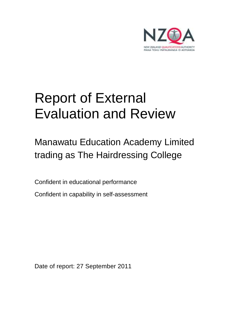

# Report of External Evaluation and Review

## Manawatu Education Academy Limited trading as The Hairdressing College

Confident in educational performance

Confident in capability in self-assessment

Date of report: 27 September 2011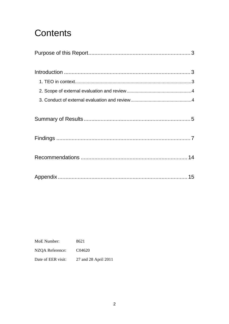## **Contents**

8621 MoE Number: NZQA Reference: C04620 Date of EER visit: 27 and 28 April 2011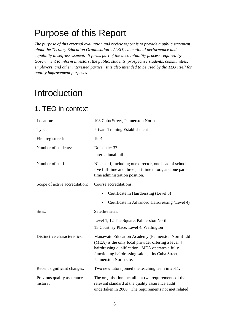## Purpose of this Report

*The purpose of this external evaluation and review report is to provide a public statement about the Tertiary Education Organisation's (TEO) educational performance and capability in self-assessment. It forms part of the accountability process required by Government to inform investors, the public, students, prospective students, communities, employers, and other interested parties. It is also intended to be used by the TEO itself for quality improvement purposes.* 

## Introduction

### 1. TEO in context

| Location:                              | 103 Cuba Street, Palmerston North                                                                                                                                                                                                            |
|----------------------------------------|----------------------------------------------------------------------------------------------------------------------------------------------------------------------------------------------------------------------------------------------|
| Type:                                  | Private Training Establishment                                                                                                                                                                                                               |
| First registered:                      | 1991                                                                                                                                                                                                                                         |
| Number of students:                    | Domestic: 37<br>International: nil                                                                                                                                                                                                           |
| Number of staff:                       | Nine staff, including one director, one head of school,<br>five full-time and three part-time tutors, and one part-<br>time administration position.                                                                                         |
| Scope of active accreditation:         | Course accreditations:                                                                                                                                                                                                                       |
|                                        | Certificate in Hairdressing (Level 3)<br>$\bullet$                                                                                                                                                                                           |
|                                        | Certificate in Advanced Hairdressing (Level 4)                                                                                                                                                                                               |
| Sites:                                 | Satellite sites:                                                                                                                                                                                                                             |
|                                        | Level 1, 12 The Square, Palmerston North<br>15 Courtney Place, Level 4, Wellington                                                                                                                                                           |
| Distinctive characteristics:           | Manawatu Education Academy (Palmerston North) Ltd<br>(MEA) is the only local provider offering a level 4<br>hairdressing qualification. MEA operates a fully<br>functioning hairdressing salon at its Cuba Street,<br>Palmerston North site. |
| Recent significant changes:            | Two new tutors joined the teaching team in 2011.                                                                                                                                                                                             |
| Previous quality assurance<br>history: | The organisation met all but two requirements of the<br>relevant standard at the quality assurance audit<br>undertaken in 2008. The requirements not met related                                                                             |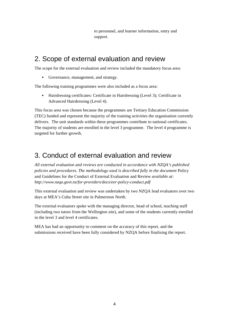to personnel, and learner information, entry and support.

### 2. Scope of external evaluation and review

The scope for the external evaluation and review included the mandatory focus area:

• Governance, management, and strategy.

The following training programmes were also included as a focus area:

• Hairdressing certificates: Certificate in Hairdressing (Level 3); Certificate in Advanced Hairdressing (Level 4).

This focus area was chosen because the programmes are Tertiary Education Commission (TEC) funded and represent the majority of the training activities the organisation currently delivers. The unit standards within these programmes contribute to national certificates. The majority of students are enrolled in the level 3 programme. The level 4 programme is targeted for further growth.

### 3. Conduct of external evaluation and review

*All external evaluation and reviews are conducted in accordance with NZQA's published policies and procedures. The methodology used is described fully in the document* Policy and Guidelines for the Conduct of External Evaluation and Review *available at: http://www.nzqa.govt.nz/for-providers/docs/eer-policy-conduct.pdf* 

This external evaluation and review was undertaken by two NZQA lead evaluators over two days at MEA's Cuba Street site in Palmerston North.

The external evaluators spoke with the managing director, head of school, teaching staff (including two tutors from the Wellington site), and some of the students currently enrolled in the level 3 and level 4 certificates.

MEA has had an opportunity to comment on the accuracy of this report, and the submissions received have been fully considered by NZQA before finalising the report.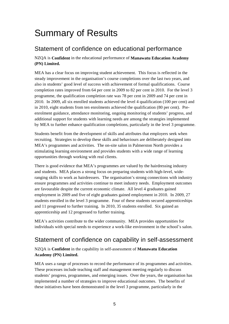## Summary of Results

### Statement of confidence on educational performance

NZQA is **Confident** in the educational performance of **Manawatu Education Academy (PN) Limited.**

MEA has a clear focus on improving student achievement. This focus is reflected in the steady improvement in the organisation's course completions over the last two years, and also in students' good level of success with achievement of formal qualifications. Course completion rates improved from 64 per cent in 2009 to 82 per cent in 2010. For the level 3 programme, the qualification completion rate was 78 per cent in 2009 and 74 per cent in 2010. In 2009, all six enrolled students achieved the level 4 qualification (100 per cent) and in 2010, eight students from ten enrolments achieved the qualification (80 per cent). Preenrolment guidance, attendance monitoring, ongoing monitoring of students' progress, and additional support for students with learning needs are among the strategies implemented by MEA to further enhance qualification completions, particularly in the level 3 programme.

Students benefit from the development of skills and attributes that employers seek when recruiting. Strategies to develop these skills and behaviours are deliberately designed into MEA's programmes and activities. The on-site salon in Palmerston North provides a stimulating learning environment and provides students with a wide range of learning opportunities through working with real clients.

There is good evidence that MEA's programmes are valued by the hairdressing industry and students. MEA places a strong focus on preparing students with high-level, wideranging skills to work as hairdressers. The organisation's strong connections with industry ensure programmes and activities continue to meet industry needs. Employment outcomes are favourable despite the current economic climate. All level 4 graduates gained employment in 2009 and five of eight graduates gained employment in 2010. In 2009, 27 students enrolled in the level 3 programme. Four of these students secured apprenticeships and 11 progressed to further training. In 2010, 35 students enrolled. Six gained an apprenticeship and 12 progressed to further training.

MEA's activities contribute to the wider community. MEA provides opportunities for individuals with special needs to experience a work-like environment in the school's salon.

### Statement of confidence on capability in self-assessment

NZQA is **Confident** in the capability in self-assessment of **Manawatu Education Academy (PN) Limited.**

MEA uses a range of processes to record the performance of its programmes and activities. These processes include teaching staff and management meeting regularly to discuss students' progress, programmes, and emerging issues. Over the years, the organisation has implemented a number of strategies to improve educational outcomes. The benefits of these initiatives have been demonstrated in the level 3 programme, particularly in the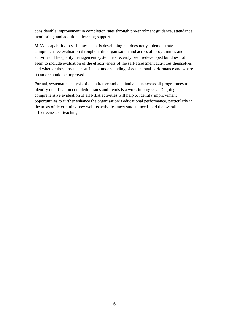considerable improvement in completion rates through pre-enrolment guidance, attendance monitoring, and additional learning support.

MEA's capability in self-assessment is developing but does not yet demonstrate comprehensive evaluation throughout the organisation and across all programmes and activities. The quality management system has recently been redeveloped but does not seem to include evaluation of the effectiveness of the self-assessment activities themselves and whether they produce a sufficient understanding of educational performance and where it can or should be improved.

Formal, systematic analysis of quantitative and qualitative data across all programmes to identify qualification completion rates and trends is a work in progress. Ongoing comprehensive evaluation of all MEA activities will help to identify improvement opportunities to further enhance the organisation's educational performance, particularly in the areas of determining how well its activities meet student needs and the overall effectiveness of teaching.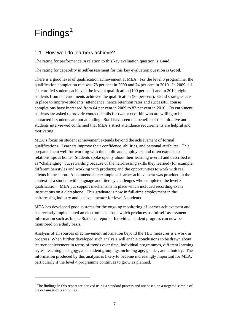## $Findings<sup>1</sup>$

 $\overline{a}$ 

#### 1.1 How well do learners achieve?

The rating for performance in relation to this key evaluation question is **Good.**

The rating for capability in self-assessment for this key evaluation question is **Good.**

There is a good level of qualification achievement at MEA. For the level 3 programme, the qualification completion rate was 78 per cent in 2009 and 74 per cent in 2010. In 2009, all six enrolled students achieved the level 4 qualification (100 per cent) and in 2010, eight students from ten enrolments achieved the qualification (80 per cent). Good strategies are in place to improve students' attendance, hence retention rates and successful course completions have increased from 64 per cent in 2009 to 82 per cent in 2010. On enrolment, students are asked to provide contact details for two next of kin who are willing to be contacted if students are not attending. Staff have seen the benefits of this initiative and students interviewed confirmed that MEA's strict attendance requirements are helpful and motivating.

MEA's focus on student achievement extends beyond the achievement of formal qualifications. Learners improve their confidence, abilities, and personal attributes. This prepares them well for working with the public and employers, and often extends to relationships at home. Students spoke openly about their learning overall and described it as "challenging" but rewarding because of the hairdressing skills they learned (for example, different hairstyles and working with products) and the opportunities to work with real clients in the salon. A commendable example of learner achievement was provided in the context of a student with language and literacy challenges who completed the level 3 qualification. MEA put support mechanisms in place which included recording exam instructions on a dictaphone. This graduate is now in full-time employment in the hairdressing industry and is also a mentor for level 3 students.

MEA has developed good systems for the ongoing monitoring of learner achievement and has recently implemented an electronic database which produces useful self-assessment information such as Intake Statistics reports. Individual student progress can now be monitored on a daily basis.

Analysis of all sources of achievement information beyond the TEC measures is a work in progress. When further developed such analysis will enable conclusions to be drawn about learner achievement in terms of trends over time, individual programmes, different learning styles, teaching pedagogy, and student groupings including age, gender, and ethnicity. The information produced by this analysis is likely to become increasingly important for MEA, particularly if the level 4 programme continues to grow as planned.

 $1$  The findings in this report are derived using a standard process and are based on a targeted sample of the organisation's activities.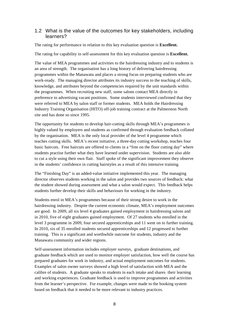#### 1.2 What is the value of the outcomes for key stakeholders, including learners?

The rating for performance in relation to this key evaluation question is **Excellent.**

The rating for capability in self-assessment for this key evaluation question is **Excellent.**

The value of MEA programmes and activities to the hairdressing industry and to students is an area of strength. The organisation has a long history of delivering hairdressing programmes within the Manawatu and places a strong focus on preparing students who are work-ready. The managing director attributes its industry success to the teaching of skills, knowledge, and attributes beyond the competencies required by the unit standards within the programmes. When recruiting new staff, some salons contact MEA directly in preference to advertising vacant positions. Some students interviewed confirmed that they were referred to MEA by salon staff or former students. MEA holds the Hairdressing Industry Training Organisation (HITO) off-job training contract at the Palmerston North site and has done so since 1995.

The opportunity for students to develop hair-cutting skills through MEA's programmes is highly valued by employers and students as confirmed through evaluation feedback collated by the organisation. MEA is the only local provider of the level 4 programme which teaches cutting skills. MEA's recent initiative, a three-day cutting workshop, teaches four basic haircuts. Free haircuts are offered to clients in a "free on the floor cutting day" where students practise further what they have learned under supervision. Students are also able to cut a style using their own flair. Staff spoke of the significant improvement they observe in the students' confidence in cutting hairstyles as a result of this intensive training.

The "Finishing Day" is an added-value initiative implemented this year. The managing director observes students working in the salon and provides two sources of feedback: what the student showed during assessment and what a salon would expect. This feedback helps students further develop their skills and behaviours for working in the industry.

Students enrol in MEA's programmes because of their strong desire to work in the hairdressing industry. Despite the current economic climate, MEA's employment outcomes are good. In 2009, all six level 4 graduates gained employment in hairdressing salons and in 2010, five of eight graduates gained employment. Of 27 students who enrolled in the level 3 programme in 2009, four secured apprenticeships and 11 went on to further training. In 2010, six of 35 enrolled students secured apprenticeships and 12 progressed to further training. This is a significant and worthwhile outcome for students, industry and the Manawatu community and wider regions.

Self-assessment information includes employer surveys, graduate destinations, and graduate feedback which are used to monitor employer satisfaction, how well the course has prepared graduates for work in industry, and actual employment outcomes for students. Examples of salon owner surveys showed a high level of satisfaction with MEA and the calibre of students. A graduate speaks to students in each intake and shares their learning and working experiences. Graduate feedback is used to improve programmes and activities from the learner's perspective. For example, changes were made to the booking system based on feedback that it needed to be more relevant to industry practices.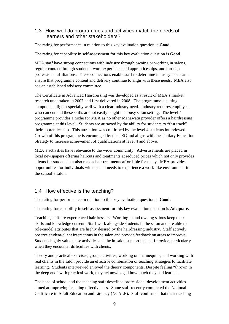#### 1.3 How well do programmes and activities match the needs of learners and other stakeholders?

The rating for performance in relation to this key evaluation question is **Good.**

The rating for capability in self-assessment for this key evaluation question is **Good.**

MEA staff have strong connections with industry through owning or working in salons, regular contact through students' work experience and apprenticeships, and through professional affiliations. These connections enable staff to determine industry needs and ensure that programme content and delivery continue to align with these needs. MEA also has an established advisory committee.

The Certificate in Advanced Hairdressing was developed as a result of MEA's market research undertaken in 2007 and first delivered in 2008. The programme's cutting component aligns especially well with a clear industry need. Industry requires employees who can cut and these skills are not easily taught in a busy salon setting. The level 4 programme provides a niche for MEA as no other Manawatu provider offers a hairdressing programme at this level. Students are attracted by the ability for students to "fast track" their apprenticeship. This attraction was confirmed by the level 4 students interviewed. Growth of this programme is encouraged by the TEC and aligns with the Tertiary Education Strategy to increase achievement of qualifications at level 4 and above.

MEA's activities have relevance to the wider community. Advertisements are placed in local newspapers offering haircuts and treatments at reduced prices which not only provides clients for students but also makes hair treatments affordable for many. MEA provides opportunities for individuals with special needs to experience a work-like environment in the school's salon.

#### 1.4 How effective is the teaching?

The rating for performance in relation to this key evaluation question is **Good.**

The rating for capability in self-assessment for this key evaluation question is **Adequate.**

Teaching staff are experienced hairdressers. Working in and owning salons keep their skills and knowledge current. Staff work alongside students in the salon and are able to role-model attributes that are highly desired by the hairdressing industry. Staff actively observe student-client interactions in the salon and provide feedback on areas to improve. Students highly value these activities and the in-salon support that staff provide, particularly when they encounter difficulties with clients.

Theory and practical exercises, group activities, working on mannequins, and working with real clients in the salon provide an effective combination of teaching strategies to facilitate learning. Students interviewed enjoyed the theory components. Despite feeling "thrown in the deep end" with practical work, they acknowledged how much they had learned.

The head of school and the teaching staff described professional development activities aimed at improving teaching effectiveness. Some staff recently completed the National Certificate in Adult Education and Literacy (NCALE). Staff confirmed that their teaching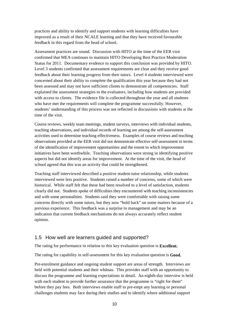practices and ability to identify and support students with learning difficulties have improved as a result of their NCALE learning and that they have received favourable feedback in this regard from the head of school.

Assessment practices are sound. Discussion with HITO at the time of the EER visit confirmed that MEA continues to maintain HITO Developing Best Practice Moderation Status for 2011. Documentary evidence to support this conclusion was provided by HITO. Level 3 students confirmed that assessment requirements are clear and they receive good feedback about their learning progress from their tutors. Level 4 students interviewed were concerned about their ability to complete the qualification this year because they had not been assessed and may not have sufficient clients to demonstrate all competencies. Staff explained the assessment strategies to the evaluators, including how students are provided with access to clients. The evidence file is collected throughout the year and all students who have met the requirements will complete the programme successfully. However, students' understanding of this process was not reflected in discussions with students at the time of the visit.

Course reviews, weekly team meetings, student surveys, interviews with individual students, teaching observations, and individual records of learning are among the self-assessment activities used to determine teaching effectiveness. Examples of course reviews and teaching observations provided at the EER visit did not demonstrate effective self-assessment in terms of the identification of improvement opportunities and the extent to which improvement initiatives have been worthwhile. Teaching observations were strong in identifying positive aspects but did not identify areas for improvement. At the time of the visit, the head of school agreed that this was an activity that could be strengthened.

Teaching staff interviewed described a positive student-tutor relationship, while students interviewed were less positive. Students raised a number of concerns, some of which were historical. While staff felt that these had been resolved to a level of satisfaction, students clearly did not. Students spoke of difficulties they encountered with teaching inconsistencies and with some personalities. Students said they were comfortable with raising some concerns directly with some tutors, but they now "hold back" on some matters because of a previous experience. This feedback was a surprise to management and may be an indication that current feedback mechanisms do not always accurately reflect student opinion.

#### 1.5 How well are learners guided and supported?

The rating for performance in relation to this key evaluation question is **Excellent.**

The rating for capability in self-assessment for this key evaluation question is **Good.**

Pre-enrolment guidance and ongoing student support are areas of strength. Interviews are held with potential students and their whānau. This provides staff with an opportunity to discuss the programme and learning expectations in detail. An eighth-day interview is held with each student to provide further assurance that the programme is "right for them" before they pay fees. Both interviews enable staff to pre-empt any learning or personal challenges students may face during their studies and to identify where additional support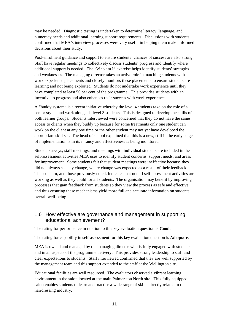may be needed. Diagnostic testing is undertaken to determine literacy, language, and numeracy needs and additional learning support requirements. Discussions with students confirmed that MEA's interview processes were very useful in helping them make informed decisions about their study.

Post-enrolment guidance and support to ensure students' chances of success are also strong. Staff have regular meetings to collectively discuss students' progress and identify where additional support is needed. The "Who am I" exercise helps identify students' strengths and weaknesses. The managing director takes an active role in matching students with work experience placements and closely monitors these placements to ensure students are learning and not being exploited. Students do not undertake work experience until they have completed at least 50 per cent of the programme. This provides students with an incentive to progress and also enhances their success with work experience.

A "buddy system" is a recent initiative whereby the level 4 students take on the role of a senior stylist and work alongside level 3 students. This is designed to develop the skills of both learner groups. Students interviewed were concerned that they do not have the same access to clients when they buddy up because for some treatments only one student can work on the client at any one time or the other student may not yet have developed the appropriate skill set. The head of school explained that this is a new, still in the early stages of implementation is in its infancy and effectiveness is being monitored

Student surveys, staff meetings, and meetings with individual students are included in the self-assessment activities MEA uses to identify student concerns, support needs, and areas for improvement. Some students felt that student meetings were ineffective because they did not always see any change, where change was expected as a result of their feedback. This concern, and those previously noted, indicates that not all self-assessment activities are working as well as they could for all students. The organisation may benefit by improving processes that gain feedback from students so they view the process as safe and effective, and thus ensuring these mechanisms yield more full and accurate information on students' overall well-being.

#### 1.6 How effective are governance and management in supporting educational achievement?

The rating for performance in relation to this key evaluation question is **Good.**

The rating for capability in self-assessment for this key evaluation question is **Adequate.**

MEA is owned and managed by the managing director who is fully engaged with students and in all aspects of the programme delivery. This provides strong leadership to staff and clear expectations to students. Staff interviewed confirmed that they are well supported by the management team and this support extended to the staff at the Wellington site.

Educational facilities are well resourced. The evaluators observed a vibrant learning environment in the salon located at the main Palmerston North site. This fully equipped salon enables students to learn and practise a wide range of skills directly related to the hairdressing industry.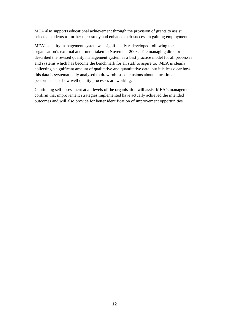MEA also supports educational achievement through the provision of grants to assist selected students to further their study and enhance their success in gaining employment.

MEA's quality management system was significantly redeveloped following the organisation's external audit undertaken in November 2008. The managing director described the revised quality management system as a best practice model for all processes and systems which has become the benchmark for all staff to aspire to. MEA is clearly collecting a significant amount of qualitative and quantitative data, but it is less clear how this data is systematically analysed to draw robust conclusions about educational performance or how well quality processes are working.

Continuing self-assessment at all levels of the organisation will assist MEA's management confirm that improvement strategies implemented have actually achieved the intended outcomes and will also provide for better identification of improvement opportunities.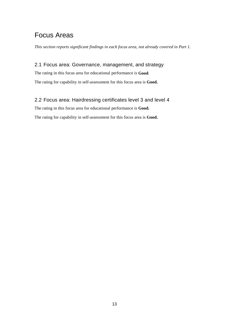### Focus Areas

*This section reports significant findings in each focus area, not already covered in Part 1.* 

#### 2.1 Focus area: Governance, management, and strategy

The rating in this focus area for educational performance is **Good**. The rating for capability in self-assessment for this focus area is **Good.** 

#### 2.2 Focus area: Hairdressing certificates level 3 and level 4

The rating in this focus area for educational performance is **Good.**

The rating for capability in self-assessment for this focus area is **Good.**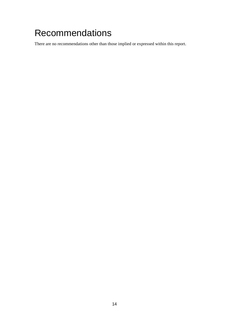## Recommendations

There are no recommendations other than those implied or expressed within this report.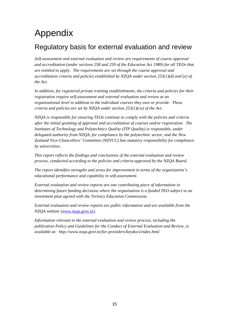## Appendix

### Regulatory basis for external evaluation and review

*Self-assessment and external evaluation and review are requirements of course approval and accreditation (under sections 258 and 259 of the Education Act 1989) for all TEOs that are entitled to apply. The requirements are set through the course approval and accreditation criteria and policies established by NZQA under section 253(1)(d) and (e) of the Act.* 

*In addition, for registered private training establishments, the criteria and policies for their registration require self-assessment and external evaluation and review at an organisational level in addition to the individual courses they own or provide. These criteria and policies are set by NZQA under section 253(1)(ca) of the Act.* 

*NZQA is responsible for ensuring TEOs continue to comply with the policies and criteria after the initial granting of approval and accreditation of courses and/or registration. The Institutes of Technology and Polytechnics Quality (ITP Quality) is responsible, under delegated authority from NZQA, for compliance by the polytechnic sector, and the New Zealand Vice-Chancellors' Committee (NZVCC) has statutory responsibility for compliance by universities.* 

*This report reflects the findings and conclusions of the external evaluation and review process, conducted according to the policies and criteria approved by the NZQA Board.* 

*The report identifies strengths and areas for improvement in terms of the organisation's educational performance and capability in self-assessment.* 

*External evaluation and review reports are one contributing piece of information in determining future funding decisions where the organisation is a funded TEO subject to an investment plan agreed with the Tertiary Education Commission.* 

*External evaluation and review reports are public information and are available from the NZQA website (www.nzqa.govt.nz).* 

*Information relevant to the external evaluation and review process, including the publication Policy and Guidelines for the Conduct of External Evaluation and Review, is available at: http://www.nzqa.govt.nz/for-providers/keydocs/index.html*